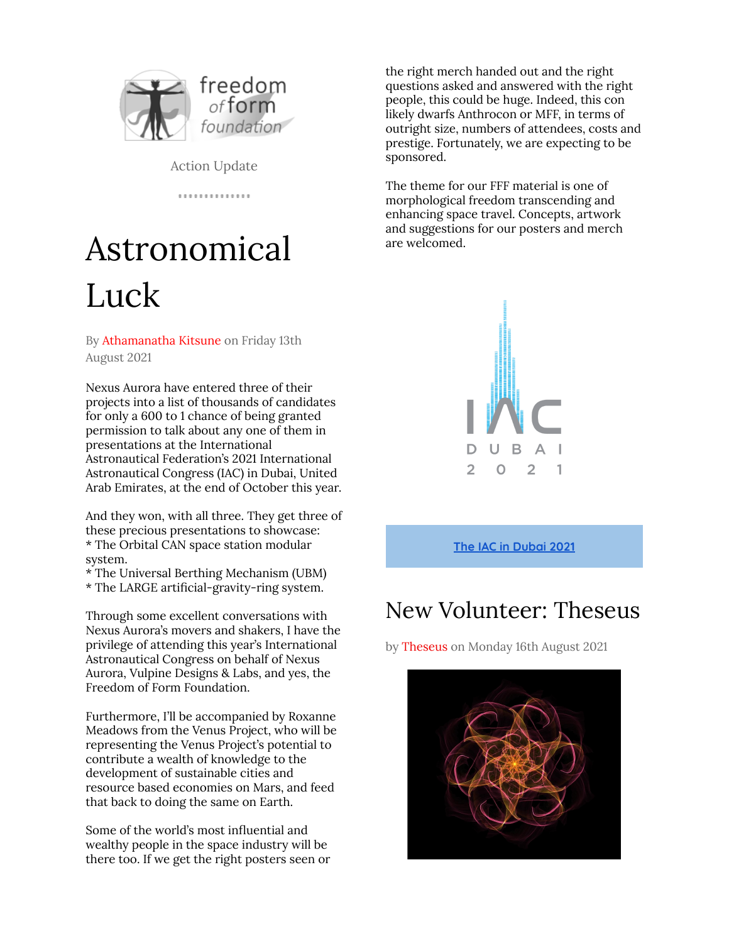

Action Update

.............

# Astronomical Luck

By Athamanatha Kitsune on Friday 13th August 2021

Nexus Aurora have entered three of their projects into a list of thousands of candidates for only a 600 to 1 chance of being granted permission to talk about any one of them in presentations at the International Astronautical Federation's 2021 International Astronautical Congress (IAC) in Dubai, United Arab Emirates, at the end of October this year.

And they won, with all three. They get three of these precious presentations to showcase: \* The Orbital CAN space station modular system.

- \* The Universal Berthing Mechanism (UBM)
- \* The LARGE artificial-gravity-ring system.

Through some excellent conversations with Nexus Aurora's movers and shakers, I have the privilege of attending this year's International Astronautical Congress on behalf of Nexus Aurora, Vulpine Designs & Labs, and yes, the Freedom of Form Foundation.

Furthermore, I'll be accompanied by Roxanne Meadows from the Venus Project, who will be representing the Venus Project's potential to contribute a wealth of knowledge to the development of sustainable cities and resource based economies on Mars, and feed that back to doing the same on Earth.

Some of the world's most influential and wealthy people in the space industry will be there too. If we get the right posters seen or the right merch handed out and the right questions asked and answered with the right people, this could be huge. Indeed, this con likely dwarfs Anthrocon or MFF, in terms of outright size, numbers of attendees, costs and prestige. Fortunately, we are expecting to be sponsored.

The theme for our FFF material is one of morphological freedom transcending and enhancing space travel. Concepts, artwork and suggestions for our posters and merch are welcomed.



**The IAC in [Dubai](https://www.iafastro.org/events/iac/iac-2021/) 2021**

### New Volunteer: Theseus

by Theseus on Monday 16th August 2021

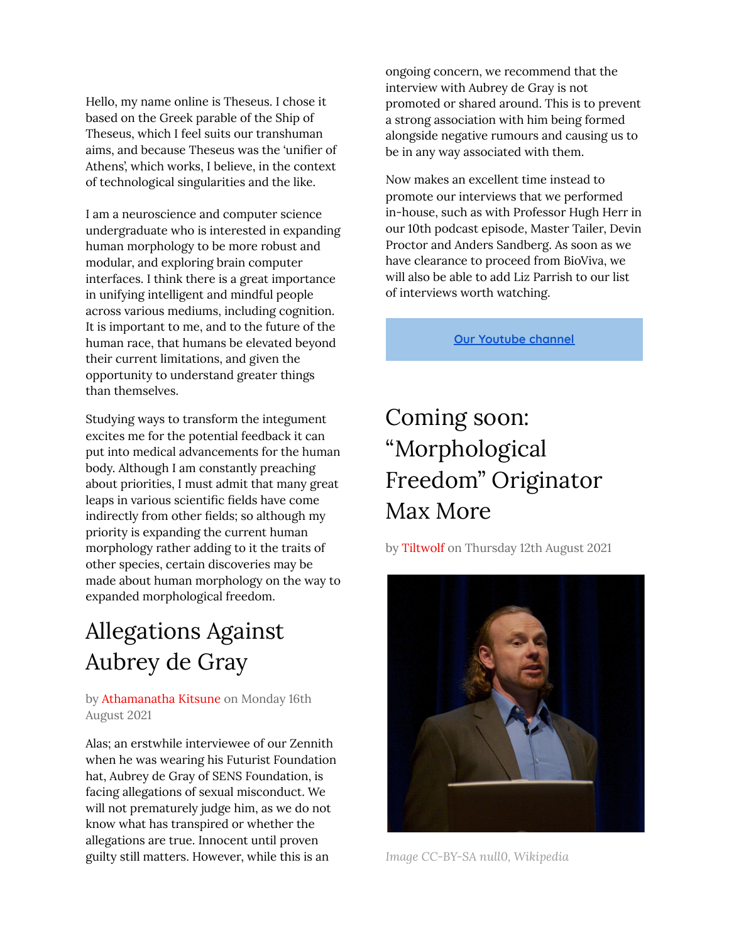Hello, my name online is Theseus. I chose it based on the Greek parable of the Ship of Theseus, which I feel suits our transhuman aims, and because Theseus was the 'unifier of Athens', which works, I believe, in the context of technological singularities and the like.

I am a neuroscience and computer science undergraduate who is interested in expanding human morphology to be more robust and modular, and exploring brain computer interfaces. I think there is a great importance in unifying intelligent and mindful people across various mediums, including cognition. It is important to me, and to the future of the human race, that humans be elevated beyond their current limitations, and given the opportunity to understand greater things than themselves.

Studying ways to transform the integument excites me for the potential feedback it can put into medical advancements for the human body. Although I am constantly preaching about priorities, I must admit that many great leaps in various scientific fields have come indirectly from other fields; so although my priority is expanding the current human morphology rather adding to it the traits of other species, certain discoveries may be made about human morphology on the way to expanded morphological freedom.

### Allegations Against Aubrey de Gray

#### by Athamanatha Kitsune on Monday 16th August 2021

Alas; an erstwhile interviewee of our Zennith when he was wearing his Futurist Foundation hat, Aubrey de Gray of SENS Foundation, is facing allegations of sexual misconduct. We will not prematurely judge him, as we do not know what has transpired or whether the allegations are true. Innocent until proven guilty still matters. However, while this is an

ongoing concern, we recommend that the interview with Aubrey de Gray is not promoted or shared around. This is to prevent a strong association with him being formed alongside negative rumours and causing us to be in any way associated with them.

Now makes an excellent time instead to promote our interviews that we performed in-house, such as with Professor Hugh Herr in our 10th podcast episode, Master Tailer, Devin Proctor and Anders Sandberg. As soon as we have clearance to proceed from BioViva, we will also be able to add Liz Parrish to our list of interviews worth watching.

**Our [Youtube](https://www.youtube.com/c/FreedomofFormFoundation/videos) channel**

## Coming soon: "Morphological Freedom" Originator Max More

by Tiltwolf on Thursday 12th August 2021



*Image CC-BY-SA null0, Wikipedia*